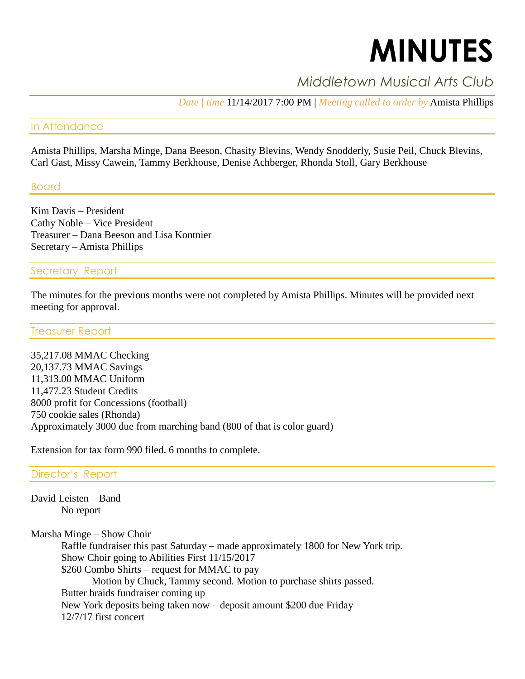# **MINUTES**

## *Middletown Musical Arts Club*

*Date | time* 11/14/2017 7:00 PM | *Meeting called to order by* Amista Phillips

#### In Attendance

Amista Phillips, Marsha Minge, Dana Beeson, Chasity Blevins, Wendy Snodderly, Susie Peil, Chuck Blevins, Carl Gast, Missy Cawein, Tammy Berkhouse, Denise Achberger, Rhonda Stoll, Gary Berkhouse

Board

Kim Davis – President Cathy Noble – Vice President Treasurer – Dana Beeson and Lisa Kontnier Secretary – Amista Phillips

#### Secretary Report

The minutes for the previous months were not completed by Amista Phillips. Minutes will be provided next meeting for approval.

#### Treasurer Report

35,217.08 MMAC Checking 20,137.73 MMAC Savings 11,313.00 MMAC Uniform 11,477.23 Student Credits 8000 profit for Concessions (football) 750 cookie sales (Rhonda) Approximately 3000 due from marching band (800 of that is color guard)

Extension for tax form 990 filed. 6 months to complete.

#### Director's Report

David Leisten – Band No report

Marsha Minge – Show Choir Raffle fundraiser this past Saturday – made approximately 1800 for New York trip. Show Choir going to Abilities First 11/15/2017 \$260 Combo Shirts – request for MMAC to pay Motion by Chuck, Tammy second. Motion to purchase shirts passed. Butter braids fundraiser coming up New York deposits being taken now – deposit amount \$200 due Friday 12/7/17 first concert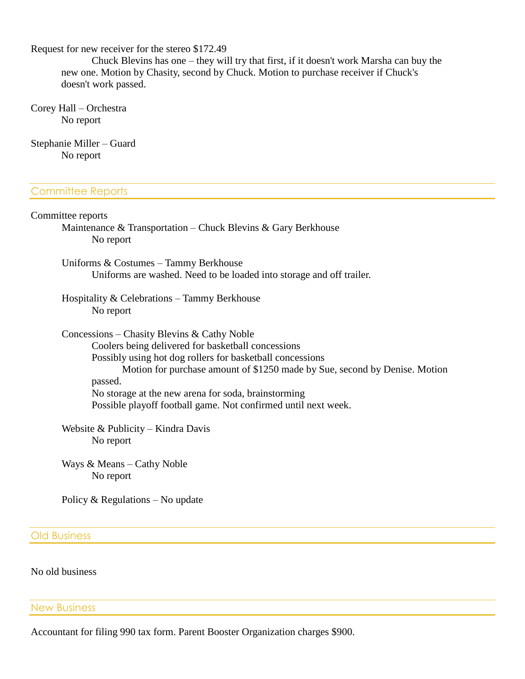Request for new receiver for the stereo \$172.49

Chuck Blevins has one – they will try that first, if it doesn't work Marsha can buy the new one. Motion by Chasity, second by Chuck. Motion to purchase receiver if Chuck's doesn't work passed.

Corey Hall – Orchestra No report

Stephanie Miller – Guard No report

#### Committee Reports

### Committee reports Maintenance & Transportation – Chuck Blevins & Gary Berkhouse No report Uniforms & Costumes – Tammy Berkhouse Uniforms are washed. Need to be loaded into storage and off trailer.

Hospitality & Celebrations – Tammy Berkhouse No report

Concessions – Chasity Blevins & Cathy Noble Coolers being delivered for basketball concessions Possibly using hot dog rollers for basketball concessions Motion for purchase amount of \$1250 made by Sue, second by Denise. Motion passed. No storage at the new arena for soda, brainstorming Possible playoff football game. Not confirmed until next week.

Website & Publicity – Kindra Davis No report

Ways & Means – Cathy Noble No report

Policy & Regulations – No update

Old Business

No old business

New Business

Accountant for filing 990 tax form. Parent Booster Organization charges \$900.